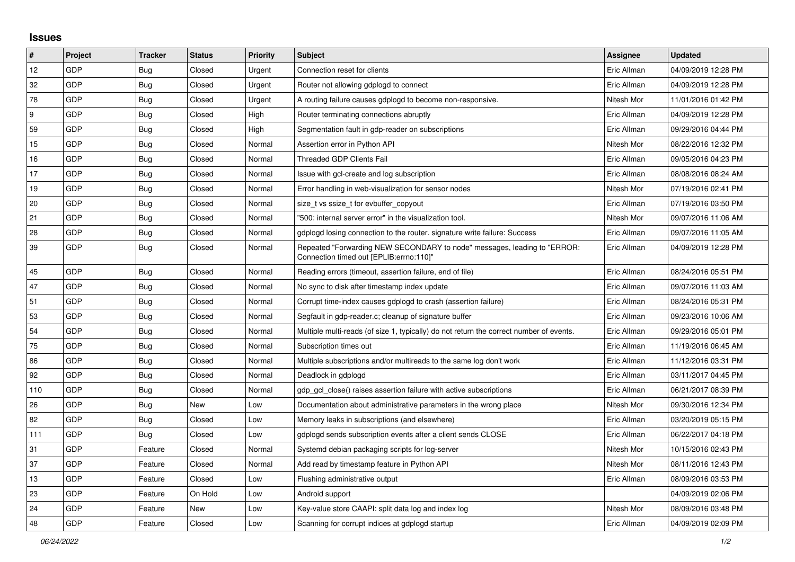## **Issues**

| $\pmb{\sharp}$ | Project    | <b>Tracker</b> | <b>Status</b> | <b>Priority</b> | <b>Subject</b>                                                                                                      | Assignee    | <b>Updated</b>      |
|----------------|------------|----------------|---------------|-----------------|---------------------------------------------------------------------------------------------------------------------|-------------|---------------------|
| 12             | GDP        | Bug            | Closed        | Urgent          | Connection reset for clients                                                                                        | Eric Allman | 04/09/2019 12:28 PM |
| 32             | GDP        | <b>Bug</b>     | Closed        | Urgent          | Router not allowing gdplogd to connect                                                                              | Eric Allman | 04/09/2019 12:28 PM |
| 78             | GDP        | <b>Bug</b>     | Closed        | Urgent          | A routing failure causes gdplogd to become non-responsive.                                                          | Nitesh Mor  | 11/01/2016 01:42 PM |
| 9              | GDP        | <b>Bug</b>     | Closed        | High            | Router terminating connections abruptly                                                                             | Eric Allman | 04/09/2019 12:28 PM |
| 59             | <b>GDP</b> | Bug            | Closed        | High            | Segmentation fault in gdp-reader on subscriptions                                                                   | Eric Allman | 09/29/2016 04:44 PM |
| 15             | GDP        | <b>Bug</b>     | Closed        | Normal          | Assertion error in Python API                                                                                       | Nitesh Mor  | 08/22/2016 12:32 PM |
| 16             | GDP        | Bug            | Closed        | Normal          | Threaded GDP Clients Fail                                                                                           | Eric Allman | 09/05/2016 04:23 PM |
| 17             | GDP        | <b>Bug</b>     | Closed        | Normal          | Issue with gcl-create and log subscription                                                                          | Eric Allman | 08/08/2016 08:24 AM |
| 19             | GDP        | <b>Bug</b>     | Closed        | Normal          | Error handling in web-visualization for sensor nodes                                                                | Nitesh Mor  | 07/19/2016 02:41 PM |
| 20             | GDP        | <b>Bug</b>     | Closed        | Normal          | size_t vs ssize_t for evbuffer_copyout                                                                              | Eric Allman | 07/19/2016 03:50 PM |
| 21             | GDP        | <b>Bug</b>     | Closed        | Normal          | '500: internal server error" in the visualization tool.                                                             | Nitesh Mor  | 09/07/2016 11:06 AM |
| 28             | GDP        | <b>Bug</b>     | Closed        | Normal          | gdplogd losing connection to the router. signature write failure: Success                                           | Eric Allman | 09/07/2016 11:05 AM |
| 39             | GDP        | <b>Bug</b>     | Closed        | Normal          | Repeated "Forwarding NEW SECONDARY to node" messages, leading to "ERROR:<br>Connection timed out [EPLIB:errno:110]" | Eric Allman | 04/09/2019 12:28 PM |
| 45             | GDP        | <b>Bug</b>     | Closed        | Normal          | Reading errors (timeout, assertion failure, end of file)                                                            | Eric Allman | 08/24/2016 05:51 PM |
| 47             | GDP        | <b>Bug</b>     | Closed        | Normal          | No sync to disk after timestamp index update                                                                        | Eric Allman | 09/07/2016 11:03 AM |
| 51             | <b>GDP</b> | <b>Bug</b>     | Closed        | Normal          | Corrupt time-index causes gdplogd to crash (assertion failure)                                                      | Eric Allman | 08/24/2016 05:31 PM |
| 53             | <b>GDP</b> | <b>Bug</b>     | Closed        | Normal          | Segfault in gdp-reader.c; cleanup of signature buffer                                                               | Eric Allman | 09/23/2016 10:06 AM |
| 54             | GDP        | Bug            | Closed        | Normal          | Multiple multi-reads (of size 1, typically) do not return the correct number of events.                             | Eric Allman | 09/29/2016 05:01 PM |
| 75             | <b>GDP</b> | <b>Bug</b>     | Closed        | Normal          | Subscription times out                                                                                              | Eric Allman | 11/19/2016 06:45 AM |
| 86             | GDP        | <b>Bug</b>     | Closed        | Normal          | Multiple subscriptions and/or multireads to the same log don't work                                                 | Eric Allman | 11/12/2016 03:31 PM |
| 92             | GDP        | <b>Bug</b>     | Closed        | Normal          | Deadlock in gdplogd                                                                                                 | Eric Allman | 03/11/2017 04:45 PM |
| 110            | GDP        | Bug            | Closed        | Normal          | gdp gcl close() raises assertion failure with active subscriptions                                                  | Eric Allman | 06/21/2017 08:39 PM |
| 26             | GDP        | <b>Bug</b>     | New           | Low             | Documentation about administrative parameters in the wrong place                                                    | Nitesh Mor  | 09/30/2016 12:34 PM |
| 82             | GDP        | Bug            | Closed        | Low             | Memory leaks in subscriptions (and elsewhere)                                                                       | Eric Allman | 03/20/2019 05:15 PM |
| 111            | GDP        | <b>Bug</b>     | Closed        | Low             | gdplogd sends subscription events after a client sends CLOSE                                                        | Eric Allman | 06/22/2017 04:18 PM |
| 31             | <b>GDP</b> | Feature        | Closed        | Normal          | Systemd debian packaging scripts for log-server                                                                     | Nitesh Mor  | 10/15/2016 02:43 PM |
| 37             | GDP        | Feature        | Closed        | Normal          | Add read by timestamp feature in Python API                                                                         | Nitesh Mor  | 08/11/2016 12:43 PM |
| 13             | GDP        | Feature        | Closed        | Low             | Flushing administrative output                                                                                      | Eric Allman | 08/09/2016 03:53 PM |
| 23             | <b>GDP</b> | Feature        | On Hold       | Low             | Android support                                                                                                     |             | 04/09/2019 02:06 PM |
| 24             | GDP        | Feature        | New           | Low             | Key-value store CAAPI: split data log and index log                                                                 | Nitesh Mor  | 08/09/2016 03:48 PM |
| 48             | GDP        | Feature        | Closed        | Low             | Scanning for corrupt indices at gdplogd startup                                                                     | Eric Allman | 04/09/2019 02:09 PM |